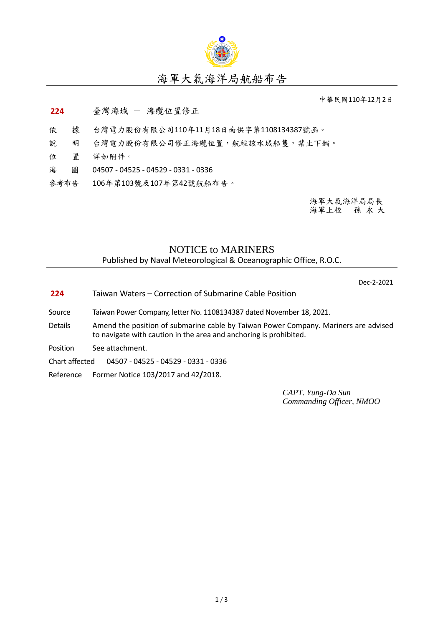

## 海軍大氣海洋局航船布告

中華民國110年12月2日

## **224** 臺灣海域 - 海纜位置修正

- 依 據 台灣電力股份有限公司110年11月18日南供字第1108134387號函。
- 說 明 台灣電力股份有限公司修正海纜位置,航經該水域船隻,禁止下錨。
- 位 置 詳如附件。
- 海 圖 04507 04525 04529 0331 0336
- 參考布告 106年第103號及107年第42號航船布告。

海軍大氣海洋局局長 海軍上校 孫 永 大

## NOTICE to MARINERS

Published by Naval Meteorological & Oceanographic Office, R.O.C.

Dec-2-2021

- **224** Taiwan Waters Correction of Submarine Cable Position
- Source Taiwan Power Company, letter No. 1108134387 dated November 18, 2021.
- Details Amend the position of submarine cable by Taiwan Power Company. Mariners are advised to navigate with caution in the area and anchoring is prohibited.
- Position See attachment.

Chart affected 04507 - 04525 - 04529 - 0331 - 0336

Reference Former Notice 103**/**2017 and 42**/**2018.

*CAPT. Yung-Da Sun Commanding Officer, NMOO*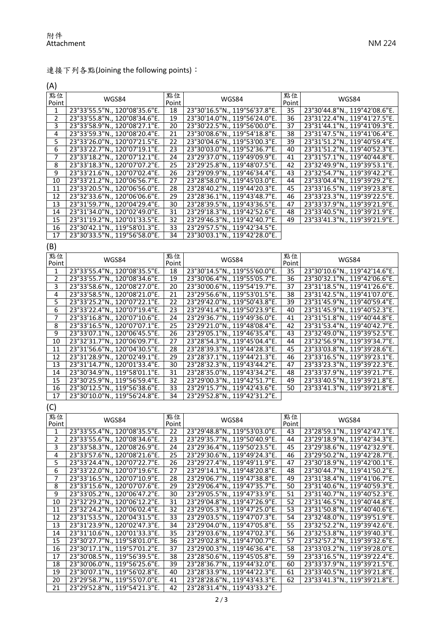## 連接下列各點(Joining the following points):

(A)

| 點位<br>Point    | WGS84                         | 點位<br>Point     | WGS84                         | 點位<br>Point     | WGS84                         |
|----------------|-------------------------------|-----------------|-------------------------------|-----------------|-------------------------------|
| 1              | 23°33'55.5"N., 120°08'35.6"E. | 18              | 23°30'16.5"N., 119°56'37.8"E. | 35              | 23°30'44.8"N., 119°42'08.6"E. |
| $\overline{2}$ | 23°33'55.8"N., 120°08'34.6"E. | 19              | 23°30'14.0"N., 119°56'24.0"E. | 36              | 23°31'22.4"N., 119°41'27.5"E. |
| 3              | 23°33'58.9"N., 120°08'27.1"E. | 20              | 23°30'22.5"N., 119°56'00.0"E. | 37              | 23°31'44.1"N., 119°41'09.3"E. |
| 4              | 23°33'59.3"N., 120°08'20.4"E. | 21              | 23°30'08.6"N., 119°54'18.8"E. | 38              | 23°31'47.5"N., 119°41'06.4"E. |
| 5              | 23°33'26.0"N., 120°07'21.5"E. | 22              | 23°30'04.6"N., 119°53'00.3"E. | $\overline{39}$ | 23°31'51.2"N., 119°40'59.4"E. |
| 6              | 23°33'22.7"N., 120°07'19.1"E. | 23              | 23°30'03.0"N., 119°52'36.7"E. | 40              | 23°31'51.2"N., 119°40'52.3"E. |
| 7              | 23°33'18.2"N., 120°07'12.1"E. | 24              | 23°29'37.0"N., 119°49'09.9"E. | 41              | 23°31'57.1"N., 119°40'44.8"E. |
| 8              | 23°33'18.3"N., 120°07'07.2"E. | $\overline{25}$ | 23°29'25.8"N., 119°48'07.5"E. | 42              | 23°32'49.9"N., 119°39'53.1"E. |
| 9              | 23°33'21.6"N., 120°07'02.4"E. | 26              | 23°29'09.9"N., 119°46'34.4"E. | 43              | 23°32'54.7"N., 119°39'42.2"E. |
| 10             | 23°33'21.2"N., 120°06'56.7"E. | 27              | 23°28'58.0"N., 119°45'03.0"E. | 44              | 23°33'04.4"N., 119°39'29.2"E. |
| 11             | 23°33'20.5"N., 120°06'56.0"E. | $\overline{28}$ | 23°28'40.2"N., 119°44'20.3"E. | 45              | 23°33'16.5"N., 119°39'23.8"E. |
| 12             | 23°32'33.6"N., 120°06'06.6"E. | 29              | 23°28'36.1"N., 119°43'48.7"E. | 46              | 23°33'23.3"N., 119°39'22.5"E. |
| 13             | 23°31'59.7"N., 120°04'29.4"E. | $\overline{30}$ | 23°28'39.5"N., 119°43'36.5"E. | 47              | 23°33'37.9"N., 119°39'21.9"E. |
| 14             | 23°31'34.0"N., 120°02'49.0"E. | 31              | 23°29'18.3"N., 119°42'52.6"E. | 48              | 23°33'40.5"N., 119°39'21.9"E. |
| 15             | 23°31'19.2"N., 120°01'33.5"E. | 32              | 23°29'46.3"N., 119°42'40.7"E. | 49              | 23°33'41.3"N., 119°39'21.9"E. |
| 16             | 23°30'42.1"N., 119°58'01.3"E. | 33              | 23°29'57.5"N., 119°42'34.5"E. |                 |                               |
| 17             | 23°30'33.5"N., 119°56'58.0"E. | 34              | 23°30'03.1"N., 119°42'28.0"E. |                 |                               |
| (B)            |                               |                 |                               |                 |                               |
| 點位             |                               | 點位              |                               | 點位              |                               |
| Point          | WGS84                         | Point           | WGS84                         | Point           | WGS84                         |
| 1              | 23°33'55.4"N., 120°08'35.5"E. | 18              | 23°30'14.5"N., 119°55'60.0"E. | 35              | 23°30'10.6"N., 119°42'14.6"E. |
| 2              | 23°33'55.7"N., 120°08'34.6"E. | 19              | 23°30'06.4"N., 119°55'05.7"E. | 36              | 23°30'32.1"N., 119°42'06.6"E. |
| 3              | 23°33'58.6"N., 120°08'27.0"E. | 20              | 23°30'00.6"N., 119°54'19.7"E. | 37              | 23°31'18.5"N., 119°41'26.6"E. |
| 4              | 23°33'58.5"N., 120°08'21.0"E. | 21              | 23°29'56.6"N., 119°53'01.5"E. | 38              | 23°31'42.5"N., 119°41'07.0"E. |
| 5              | 23°33'25.2"N., 120°07'22.1"E. | $\overline{22}$ | 23°29'42.0"N., 119°50'43.8"E. | 39              | 23°31'45.9"N., 119°40'59.4"E. |
| 6              | 23°33'22.4"N., 120°07'19.4"E. | 23              | 23°29'41.4"N., 119°50'23.9"E. | 40              | 23°31'45.9"N., 119°40'52.3"E. |
| 7              | 23°33'16.8"N., 120°07'10.6"E. | 24              | 23°29'36.7"N., 119°49'36.0"E. | 41              | 23°31'51.8"N., 119°40'44.8"E. |
| 8              | 23°33'16.5"N., 120°07'07.1"E. | 25              | 23°29'21.0"N., 119°48'08.4"E. | 42              | 23°31'53.4"N., 119°40'42.7"E. |
| 9              | 23°33'07.1"N., 120°06'45.5"E. | 26              | 23°29'05.1"N., 119°46'35.4"E. | 43              | 23°32'49.0"N., 119°39'52.5"E. |
| 10             | 23°32'31.7"N., 120°06'09.7"E. | 27              | 23°28'54.3"N., 119°45'04.4"E. | 44              | 23°32'56.9"N., 119°39'34.7"E. |
| 11             | 23°31'56.6"N., 120°04'30.5"E. | 28              | 23°28'39.3"N., 119°44'28.3"E. | 45              | 23°33'03.8"N., 119°39'28.6"E. |
| 12             | 23°31'28.9"N., 120°02'49.1"E. | 29              | 23°28'37.1"N., 119°44'21.3"E. | 46              | 23°33'16.5"N., 119°39'23.1"E. |
| 13             | 23°31'14.7"N., 120°01'33.4"E. | $\overline{30}$ | 23°28'32.3"N., 119°43'44.2"E. | 47              | 23°33'23.3"N., 119°39'22.3"E. |
| 14             | 23°30'34.9"N., 119°58'01.1"E. | 31              | 23°28'35.0"N., 119°43'34.2"E. | 48              | 23°33'37.9"N., 119°39'21.7"E. |
| 15             | 23°30'25.9"N., 119°56'59.4"E. | 32              | 23°29'00.3"N., 119°42'51.7"E. | 49              | 23°33'40.5"N., 119°39'21.8"E. |
| 16             | 23°30'12.5"N., 119°56'38.6"E. | 33              | 23°29'15.7"N., 119°42'43.6"E. | 50              | 23°33'41.3"N., 119°39'21.8"E. |
| 17             | 23°30'10.0"N., 119°56'24.8"E. | 34              | 23°29'52.8"N., 119°42'31.2"E. |                 |                               |
| (C)            |                               |                 |                               |                 |                               |
| 點位             |                               | 點位              |                               | 點位              |                               |
| Point          | WGS84                         | <b>Point</b>    | WGS84                         | Point           | WGS84                         |
| $\mathbf{1}$   | 23°33'55.4"N., 120°08'35.5"E. | 22              | 23°29'48.8"N., 119°53'03.0"E. | 43              | 23°28'59.1"N., 119°42'47.1"E. |
| $\overline{2}$ | 23°33'55.6"N., 120°08'34.6"E. | 23              | 23°29'35.7"N., 119°50'40.9"E. | 44              | 23°29'18.9"N., 119°42'34.3"E. |
| З              | 23°33'58.3"N., 120°08'26.9"E. | 24              | 23°29'36.4"N., 119°50'23.5"E. | 45              | 23°29'38.6"N., 119°42'32.9"E. |
| 4              | 23°33'57.6"N., 120°08'21.6"E. | 25              | 23°29'30.6"N., 119°49'24.3"E. | 46              | 23°29'50.2"N., 119°42'28.7"E. |
| $\overline{5}$ | 23°33'24.4"N., 120°07'22.7"E. | 26              | 23°29'27.4"N., 119°49'11.9"E. | 47              | 23°30'18.9"N., 119°42'00.1"E. |
| $\overline{6}$ | 23°33'22.0"N., 120°07'19.6"E. | 27              | 23°29'14.1"N., 119°48'20.8"E. | 48              | 23°30'44.7"N., 119°41'50.2"E. |
| $\overline{7}$ | 23°33'16.5"N., 120°07'10.9"E. | 28              | 23°29'06.7"N., 119°47'38.8"E. | 49              | 23°31'38.4"N., 119°41'06.7"E. |
| 8              | 23°33'15.6"N., 120°07'07.6"E. | 29              | 23°29'06.4"N., 119°47'35.7"E. | 50              | 23°31'40.6"N., 119°40'59.3"E. |
| 9              | 23°33'05.2"N., 120°06'47.2"E. | 30              | 23°29'05.5"N., 119°47'33.9"E. | 51              | 23°31'40.7"N., 119°40'52.3"E. |
| 10             | 23°32'29.2"N., 120°06'12.2"E. | 31              | 23°29'04.8"N., 119°47'26.9"E. | 52              | 23°31'46.5"N., 119°40'44.8"E. |
| 11             | 23°32'24.2"N., 120°06'02.4"E. | $\overline{32}$ | 23°29'05.3"N., 119°47'25.0"E. | 53              | 23°31'50.8"N., 119°40'40.6"E. |
| 12             | 23°31'53.5"N., 120°04'31.5"E. | 33              | 23°29'03.5"N., 119°47'07.3"E. | 54              | 23°32'48.0"N., 119°39'51.9"E. |
| 13             | 23°31'23.9"N., 120°02'47.3"E. | 34              | 23°29'04.0"N., 119°47'05.8"E. | 55              | 23°32'52.2"N., 119°39'42.6"E. |
| 14             | 23°31'10.6"N., 120°01'33.3"E. | $\overline{35}$ | 23°29'03.6"N., 119°47'02.3"E. | 56              | 23°32'53.8"N., 119°39'40.3"E. |
| 15             | 23°30'27.7"N., 119°58'01.0"E. | 36              | 23°29'02.8"N., 119°47'00.7"E. | 57              | 23°32'57.2"N., 119°39'32.6"E. |
| 16             | 23°30'17.1"N., 119°57'01.2"E. | 37              | 23°29'00.3"N., 119°46'36.4"E. | 58              | 23°33'03.2"N., 119°39'28.0"E. |
| 17             | 23°30'08.5"N., 119°56'39.5"E. | 38              | 23°28'50.6"N., 119°45'05.8"E. | 59              | 23°33'16.5"N., 119°39'22.4"E. |
| 18             | 23°30'06.0"N., 119°56'25.6"E. | 39              | 23°28'36.7"N., 119°44'32.0"E. | 60              | 23°33'37.9"N., 119°39'21.5"E. |
| 19             | 23°30'07.1"N., 119°56'02.8"E. | 40              | 23°28'33.9"N., 119°44'22.3"E. | 61              | 23°33'40.5"N., 119°39'21.8"E. |
| 20             | 23°29'58.7"N., 119°55'07.0"E. | 41              | 23°28'28.6"N., 119°43'43.3"E. | 62              | 23°33'41.3"N., 119°39'21.8"E. |
| 21             | 23°29'52.8"N., 119°54'21.3"E. | 42              | 23°28'31.4"N., 119°43'33.2"E. |                 |                               |